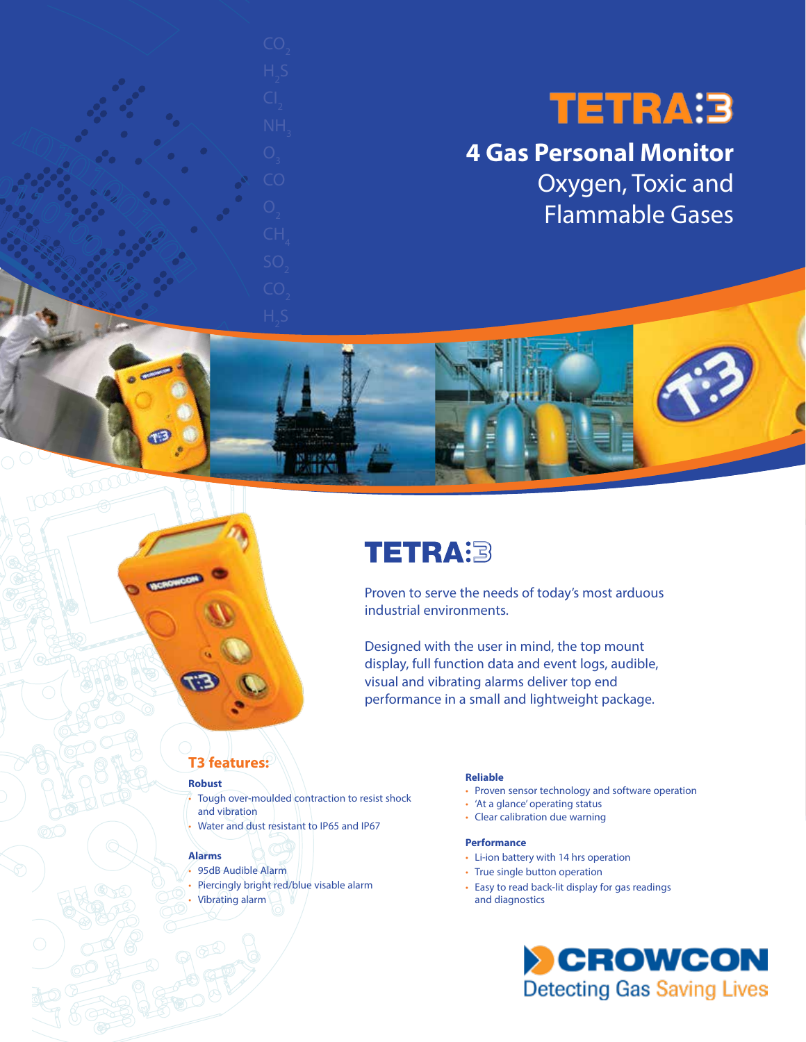# **TETRA:3**

## **4 Gas Personal Monitor** Oxygen, Toxic and Flammable Gases



Proven to serve the needs of today's most arduous industrial environments.

Designed with the user in mind, the top mount display, full function data and event logs, audible, visual and vibrating alarms deliver top end performance in a small and lightweight package.

## **T3 features:**

#### **Robust**

moone

Tough over-moulded contraction to resist shock and vibration • Water and dust resistant to IP65 and IP67

### **Alarms**

- 95dB Audible Alarm
- Piercingly bright red/blue visable alarm
- Vibrating alarm

#### **Reliable**

- Proven sensor technology and software operation
- 'At a glance' operating status
- Clear calibration due warning

### **Performance**

- Li-ion battery with 14 hrs operation
- True single button operation
- Easy to read back-lit display for gas readings and diagnostics